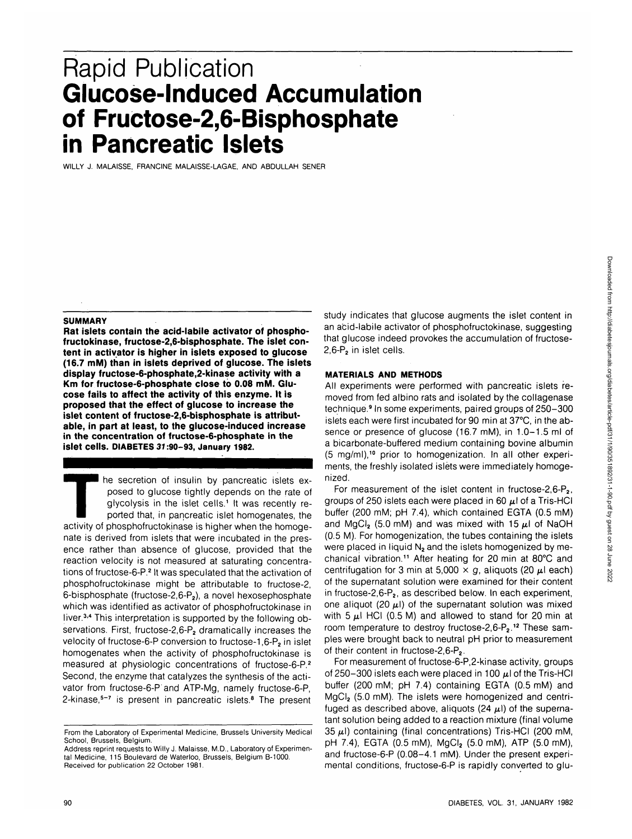# Rapid Publication **Glucose-Induced Accumulation of Fructose-2,6-Bisphosphate in Pancreatic Islets**

WILLY J. MALAISSE, FRANCINE MALAISSE-LAGAE, AND ABDULLAH SENER

#### **SUMMARY**

**Rat islets contain the acid-labile activator of phosphofructokinase, fructose-2,6-bisphosphate. The islet content in activator is higher in islets exposed to glucose (16.7 mM) than in islets deprived of glucose. The islets display fructose-6-phosphate,2-kinase activity with a Km for fructose-6-phosphate close to 0.08 mM. Glucose fails to affect the activity of this enzyme. It is proposed that the effect of glucose to increase the islet content of fructose-2,6-bisphosphate is attributable, in part at least, to the glucose-induced increase in the concentration of fructose-6-phosphate in the islet cells. DIABETES 37:90-93, January 1982.**

he secretion of insulin by pancreatic islets exposed to glucose tightly depends on the rate of glycolysis in the islet cells.<sup>1</sup> It was recently reported that, in pancreatic islet homogenates, the activity of phosphofructokinase is higher when the homogenate is derived from islets that were incubated in the presence rather than absence of glucose, provided that the reaction velocity is not measured at saturating concentrations of fructose-6-P.<sup>2</sup> It was speculated that the activation of phosphofructokinase might be attributable to fructose-2, 6-bisphosphate (fructose-2,6- $P_2$ ), a novel hexosephosphate which was identified as activator of phosphofructokinase in liver.<sup>3,4</sup> This interpretation is supported by the following observations. First, fructose-2,6-P<sub>2</sub> dramatically increases the velocity of fructose-6-P conversion to fructose-1,6-P<sub>2</sub> in islet homogenates when the activity of phosphofructokinase is measured at physiologic concentrations of fructose-6-P.2 Second, the enzyme that catalyzes the synthesis of the activator from fructose-6-P and ATP-Mg, namely fructose-6-P, 2-kinase,<sup>5-7</sup> is present in pancreatic islets.<sup>8</sup> The present

study indicates that glucose augments the islet content in an acid-labile activator of phosphofructokinase, suggesting that glucose indeed provokes the accumulation of fructose-2,6-P<sub>2</sub> in islet cells.

#### **MATERIALS AND METHODS**

All experiments were performed with pancreatic islets removed from fed albino rats and isolated by the collagenase technique.<sup>9</sup> In some experiments, paired groups of 250-300 islets each were first incubated for 90 min at 37°C, in the absence or presence of glucose (16.7 mM), in 1.0-1.5 ml of a bicarbonate-buffered medium containing bovine albumin (5 mg/ml),<sup>10</sup> prior to homogenization. In all other experiments, the freshly isolated islets were immediately homogenized.

For measurement of the islet content in fructose-2,6-P<sub>2</sub>, groups of 250 islets each were placed in 60  $\mu$ l of a Tris-HCI buffer (200 mM; pH 7.4), which contained EGTA (0.5 mM) and MgCl<sub>2</sub> (5.0 mM) and was mixed with 15  $\mu$ l of NaOH (0.5 M). For homogenization, the tubes containing the islets were placed in liquid  $N_2$  and the islets homogenized by mechanical vibration.<sup>11</sup> After heating for 20 min at 80°C and centrifugation for 3 min at 5,000  $\times$  g, aliquots (20  $\mu$ l each) of the supernatant solution were examined for their content in fructose-2,6- $P_2$ , as described below. In each experiment, one aliquot (20  $\mu$ l) of the supernatant solution was mixed with 5  $\mu$ I HCI (0.5 M) and allowed to stand for 20 min at room temperature to destroy fructose-2.6-P<sub>2.</sub><sup>12</sup> These samples were brought back to neutral pH prior to measurement of their content in fructose-2,6-P<sub>2</sub>.

For measurement of fructose-6-P,2-kinase activity, groups of 250-300 islets each were placed in 100  $\mu$ l of the Tris-HCI buffer (200 mM; pH 7.4) containing EGTA (0.5 mM) and MgCl<sub>2</sub> (5.0 mM). The islets were homogenized and centrifuged as described above, aliquots (24  $\mu$ l) of the supernatant solution being added to a reaction mixture (final volume 35  $\mu$ I) containing (final concentrations) Tris-HCI (200 mM, pH 7.4), EGTA (0.5 mM), MgCl<sub>2</sub> (5.0 mM), ATP (5.0 mM), and fructose-6-P (0.08-4.1 mM). Under the present experimental conditions, fructose-6-P is rapidly converted to glu-

From the Laboratory of Experimental Medicine, Brussels University Medical School, Brussels, Belgium.

Address reprint requests to Willy J. Malaisse, M.D., Laboratory of Experimental Medicine, 115 Boulevard de Waterloo, Brussels, Belgium B-1000. Received for publication 22 October 1981.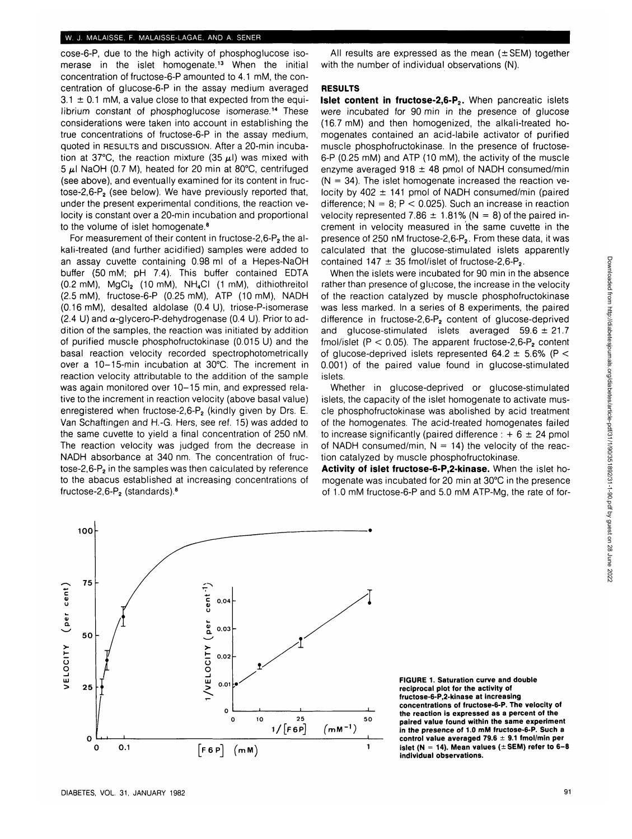cose-6-P, due to the high activity of phosphoglucose isomerase in the islet homogenate.<sup>13</sup> When the initial concentration of fructose-6-P amounted to 4.1 mM, the concentration of glucose-6-P in the assay medium averaged  $3.1 \pm 0.1$  mM, a value close to that expected from the equilibrium constant of phosphoglucose isomerase.<sup>14</sup> These considerations were taken into account in establishing the true concentrations of fructose-6-P in the assay medium, quoted in RESULTS and DISCUSSION. After a 20-min incubation at 37°C, the reaction mixture (35  $\mu$ I) was mixed with  $5 \mu$ I NaOH (0.7 M), heated for 20 min at 80°C, centrifuged (see above), and eventually examined for its content in fructose-2,6-P<sub>2</sub> (see below). We have previously reported that, under the present experimental conditions, the reaction velocity is constant over a 20-min incubation and proportional to the volume of islet homogenate.<sup>8</sup>

For measurement of their content in fructose-2.6-P<sub>2</sub> the alkali-treated (and further acidified) samples were added to an assay cuvette containing 0.98 ml of a Hepes-NaOH buffer (50 mM; pH 7.4). This buffer contained EDTA  $(0.2 \text{ mM})$ , MgCl<sub>2</sub>  $(10 \text{ mM})$ , NH<sub>4</sub>Cl  $(1 \text{ mM})$ , dithiothreitol (2.5 mM), fructose-6-P (0.25 mM), ATP (10 mM), NADH (0.16 mM), desalted aldolase (0.4 U), triose-P-isomerase (2.4 U) and  $\alpha$ -glycero-P-dehydrogenase (0.4 U). Prior to addition of the samples, the reaction was initiated by addition of purified muscle phosphofructokinase (0.015 U) and the basal reaction velocity recorded spectrophotometrically over a 10-15-min incubation at 30°C. The increment in reaction velocity attributable to the addition of the sample was again monitored over 10-15 min, and expressed relative to the increment in reaction velocity (above basal value) enregistered when fructose-2,6- $P_2$  (kindly given by Drs. E. Van Schaftingen and H.-G. Hers, see ref. 15) was added to the same cuvette to yield a final concentration of 250 nM. The reaction velocity was judged from the decrease in NADH absorbance at 340 nm. The concentration of fructose-2,6- $P_2$  in the samples was then calculated by reference to the abacus established at increasing concentrations of fructose-2,6- $P_2$  (standards).<sup>8</sup>

All results are expressed as the mean  $(\pm$  SEM) together with the number of individual observations (N).

## **RESULTS**

**Islet content in fructose-2,6-P<sub>2</sub>.** When pancreatic islets were incubated for 90 min in the presence of glucose (16.7 mM) and then homogenized, the alkali-treated homogenates contained an acid-labile activator of purified muscle phosphofructokinase. In the presence of fructose-6-P (0.25 mM) and ATP (10 mM), the activity of the muscle enzyme averaged 918  $\pm$  48 pmol of NADH consumed/min  $(N = 34)$ . The islet homogenate increased the reaction velocity by  $402 \pm 141$  pmol of NADH consumed/min (paired difference;  $N = 8$ ;  $P < 0.025$ ). Such an increase in reaction velocity represented 7.86  $\pm$  1.81% (N = 8) of the paired increment in velocity measured in the same cuvette in the presence of 250 nM fructose-2.6-P<sub>2</sub>. From these data, it was calculated that the glucose-stimulated islets apparently contained  $147 \pm 35$  fmol/islet of fructose-2.6-P<sub>2</sub>.

When the islets were incubated for 90 min in the absence. rather than presence of glucose, the increase in the velocity of the reaction catalyzed by muscle phosphofructokinase was less marked. In a series of 8 experiments, the paired difference in fructose-2,6-P<sub>2</sub> content of glucose-deprived and glucose-stimulated islets averaged  $59.6 \pm 21.7$ fmol/islet  $(P < 0.05)$ . The apparent fructose-2.6-P<sub>2</sub> content of glucose-deprived islets represented  $64.2 \pm 5.6\%$  (P < 0.001) of the paired value found in glucose-stimulated islets.

Whether in glucose-deprived or glucose-stimulated islets, the capacity of the islet homogenate to activate muscle phosphofructokinase was abolished by acid treatment of the homogenates. The acid-treated homogenates failed to increase significantly (paired difference :  $+ 6 \pm 24$  pmol of NADH consumed/min,  $N = 14$ ) the velocity of the reaction catalyzed by muscle phosphofructokinase.

**Activity of islet fructose-6-P,2-kinase.** When the islet homogenate was incubated for 20 min at 30°C in the presence of 1.0 mM fructose-6-P and 5.0 mM ATP-Mg, the rate of for-



**FIGURE 1. Saturation curve and double reciprocal plot for the activity of fructose-6-P,2-kinase at increasing concentrations of fructose-6-P. The velocity of the reaction is expressed as a percent of the paired value found within the same experiment in the presence of 1.0 mM fructose-6-P. Such a control value averaged 79.6 ± 9.1 fmol/min per islet (N = 14). Mean values (±SEM) refer to 6-8 individual observations.**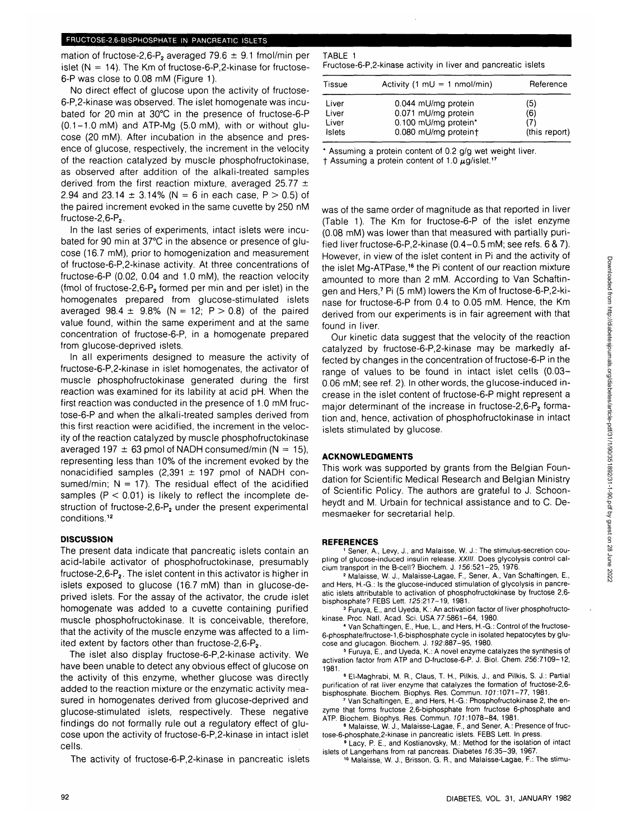mation of fructose-2,6-P<sub>2</sub> averaged 79.6  $\pm$  9.1 fmol/min per islet  $(N = 14)$ . The Km of fructose-6-P, 2-kinase for fructose-6-P was close to 0.08 mM (Figure 1).

No direct effect of glucose upon the activity of fructose-6-P,2-kinase was observed. The islet homogenate was incubated for 20 min at 30°C in the presence of fructose-6-P  $(0.1-1.0 \text{ mM})$  and ATP-Mg  $(5.0 \text{ mM})$ , with or without glucose (20 mM). After incubation in the absence and presence of glucose, respectively, the increment in the velocity of the reaction catalyzed by muscle phosphofructokinase, as observed after addition of the alkali-treated samples derived from the first reaction mixture, averaged 25.77  $\pm$ 2.94 and 23.14  $\pm$  3.14% (N = 6 in each case, P  $>$  0.5) of the paired increment evoked in the same cuvette by 250 nM fructose- $2,6$ - $P<sub>2</sub>$ .

In the last series of experiments, intact islets were incubated for 90 min at 37°C in the absence or presence of glucose (16.7 mM), prior to homogenization and measurement of fructose-6-P,2-kinase activity. At three concentrations of fructose-6-P (0.02, 0.04 and 1.0 mM), the reaction velocity (fmol of fructose-2,6-P<sub>2</sub> formed per min and per islet) in the homogenates prepared from glucose-stimulated islets averaged 98.4  $\pm$  9.8% (N = 12; P > 0.8) of the paired value found, within the same experiment and at the same concentration of fructose-6-P, in a homogenate prepared from glucose-deprived islets.

In all experiments designed to measure the activity of fructose-6-P,2-kinase in islet homogenates, the activator of muscle phosphofructokinase generated during the first reaction was examined for its lability at acid pH. When the first reaction was conducted in the presence of 1.0 mM fructose-6-P and when the alkali-treated samples derived from this first reaction were acidified, the increment in the velocity of the reaction catalyzed by muscle phosphofructokinase averaged 197  $\pm$  63 pmol of NADH consumed/min (N = 15), representing less than 10% of the increment evoked by the nonacidified samples  $(2,391 \pm 197 \text{ pmol of NADH con-}$ sumed/min;  $N = 17$ ). The residual effect of the acidified samples ( $P < 0.01$ ) is likely to reflect the incomplete destruction of fructose-2,6- $P_2$  under the present experimental conditions.<sup>12</sup>

#### **DISCUSSION**

The present data indicate that pancreatic islets contain an acid-labile activator of phosphofructokinase, presumably fructose-2,6-P2. The islet content in this activator is higher in islets exposed to glucose (16.7 mM) than in glucose-deprived islets. For the assay of the activator, the crude islet homogenate was added to a cuvette containing purified muscle phosphofructokinase. It is conceivable, therefore, that the activity of the muscle enzyme was affected to a limited extent by factors other than fructose-2,6- $P_2$ .

The islet also display fructose-6-P,2-kinase activity. We have been unable to detect any obvious effect of glucose on the activity of this enzyme, whether glucose was directly added to the reaction mixture or the enzymatic activity measured in homogenates derived from glucose-deprived and glucose-stimulated islets, respectively. These negative findings do not formally rule out a regulatory effect of glucose upon the activity of fructose-6-P,2-kinase in intact islet cells.

The activity of fructose-6-P,2-kinase in pancreatic islets

# TABLE 1

Fructose-6-P,2-kinase activity in liver and pancreatic islets

| Tissue | Activity (1 $mU = 1$ nmol/min) | Reference     |
|--------|--------------------------------|---------------|
| Liver  | 0.044 mU/mg protein            | (5)           |
| Liver  | 0.071 mU/mg protein            | (6)           |
| Liver  | 0.100 mU/mg protein*           | (7)           |
| Islets | 0.080 mU/mg proteint           | (this report) |

Assuming a protein content of 0.2  $g/g$  wet weight liver.

† Assuming a protein content of 1.0  $\mu$ g/islet.<sup>17</sup>

was of the same order of magnitude as that reported in liver (Table 1). The Km for fructose-6-P of the islet enzyme (0.08 mM) was lower than that measured with partially purified liver fructose-6-P,2-kinase (0.4-0.5 mM; see refs. 6 & 7). However, in view of the islet content in Pi and the activity of the islet Mg-ATPase,<sup>16</sup> the Pi content of our reaction mixture amounted to more than 2 mM. According to Van Schaftingen and Hers,7 Pi (5 mM) lowers the Km of fructose-6-P,2-kinase for fructose-6-P from 0.4 to 0.05 mM. Hence, the Km derived from our experiments is in fair agreement with that found in liver.

Our kinetic data suggest that the velocity of the reaction catalyzed by fructose-6-P,2-kinase may be markedly affected by changes in the concentration of fructose-6-P in the range of values to be found in intact islet cells (0.03- 0.06 mM; see ref. 2). In other words, the glucose-induced increase in the islet content of fructose-6-P might represent a major determinant of the increase in fructose-2,6-P<sub>2</sub> formation and, hence, activation of phosphofructokinase in intact islets stimulated by glucose.

## **ACKNOWLEDGMENTS**

This work was supported by grants from the Belgian Foundation for Scientific Medical Research and Belgian Ministry of Scientific Policy. The authors are grateful to J. Schoonheydt and M. Urbain for technical assistance and to C. Demesmaeker for secretarial help.

### **REFERENCES**

 Sener, A., Levy, J., and Malaisse, W. J.: The stimulus-secretion coupling of glucose-induced insulin release. XXIII. Does glycolysis control calcium transport in the B-cell? Biochem. J.  $156:521-25$ ,  $1976$ 

 Malaisse, W. J., Malaisse-Lagae, F., Sener, A., Van Schaftingen, E., and Hers, H.-G.: Is the glucose-induced stimulation of glycolysis in pancreatic islets attributable to activation of phosphofructokinase by fructose 2,6 bisphosphate? FEBS Lett. 725:217-19, 1981. <sup>3</sup>

 Furuya, E., and Uyeda, K.: An activation factor of liver phosphofructokinase. Proc. Natl. Acad. Sci. USA 77:5861-64, 1980. <sup>4</sup>

 Van Schaftingen, E., Hue, L, and Hers, H.-G.: Control of the fructose-6-phosphate/fructose-1,6-bisphosphate cycle in isolated hepatocytes by glucose and glucagon. Biochem. J. 192:887-95, 1980.

 Furuya, E., and Uyeda, K.: A novel enzyme catalyzes the synthesis of activation factor from ATP and D-fructose-6-P. J. Biol. Chem. 256:7109-12, 1981

 El-Maghrabi, M. R., Claus, T. K, Pilkis, J., and Pilkis, S. J.: Partial purification of rat liver enzyme that catalyzes the formation of fructose-2,6 bisphosphate. Biochem. Biophys. Res. Commun. 101:1071-77, 1981.

 Van Schaftingen, E., and Hers, H.-G.: Phosphofructokinase 2, the enzyme that forms fructose 2,6-biphosphate from fructose 6-phosphate and ATP. Biochem. Biophys. Res. Commun. 101:1078-84, 1981

<sup>8</sup> Malaisse, W. J., Malaisse-Lagae, F., and Sener, A.: Presence of fructose-6-phosphate, 2-kinase in pancreatic islets. FEBS Lett. In press.

 Lacy, P. E., and Kostianovsky, M.: Method for the isolation of intact islets of Langerhans from rat pancreas. Diabetes 16:35-39, 1967

<sup>10</sup> Malaisse, W. J., Brisson, G. R., and Malaisse-Lagae, F.: The stimu-